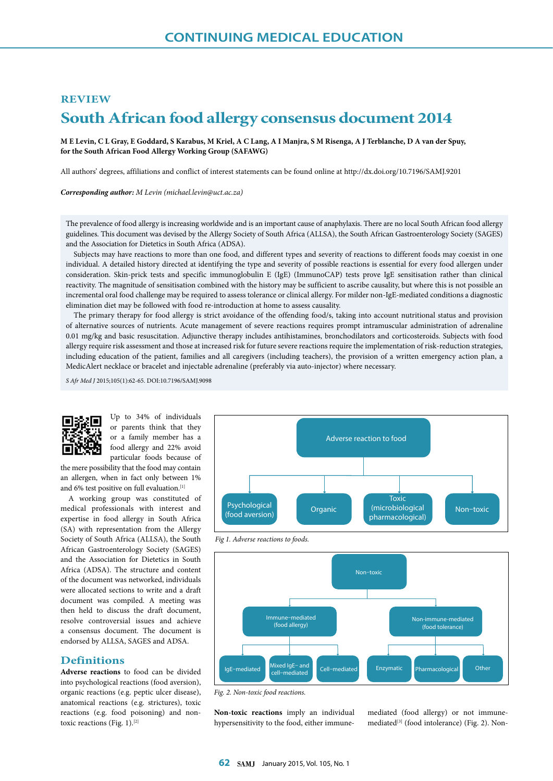# **REVIEW South African food allergy consensus document 2014**

**M E Levin, C L Gray, E Goddard, S Karabus, M Kriel, A C Lang, A I Manjra, S M Risenga, A J Terblanche, D A van der Spuy, for the South African Food Allergy Working Group (SAFAWG)**

All authors' degrees, affiliations and conflict of interest statements can be found online at http://dx.doi.org/10.7196/SAMJ.9201

*Corresponding author: M Levin (michael.levin@uct.ac.za)*

The prevalence of food allergy is increasing worldwide and is an important cause of anaphylaxis. There are no local South African food allergy guidelines. This document was devised by the Allergy Society of South Africa (ALLSA), the South African Gastroenterology Society (SAGES) and the Association for Dietetics in South Africa (ADSA).

Subjects may have reactions to more than one food, and different types and severity of reactions to different foods may coexist in one individual. A detailed history directed at identifying the type and severity of possible reactions is essential for every food allergen under consideration. Skin-prick tests and specific immunoglobulin E (IgE) (ImmunoCAP) tests prove IgE sensitisation rather than clinical reactivity. The magnitude of sensitisation combined with the history may be sufficient to ascribe causality, but where this is not possible an incremental oral food challenge may be required to assess tolerance or clinical allergy. For milder non-IgE-mediated conditions a diagnostic elimination diet may be followed with food re-introduction at home to assess causality.

The primary therapy for food allergy is strict avoidance of the offending food/s, taking into account nutritional status and provision of alternative sources of nutrients. Acute management of severe reactions requires prompt intramuscular administration of adrenaline 0.01 mg/kg and basic resuscitation. Adjunctive therapy includes antihistamines, bronchodilators and corticosteroids. Subjects with food allergy require risk assessment and those at increased risk for future severe reactions require the implementation of risk-reduction strategies, including education of the patient, families and all caregivers (including teachers), the provision of a written emergency action plan, a MedicAlert necklace or bracelet and injectable adrenaline (preferably via auto-injector) where necessary.

*S Afr Med J* 2015;105(1):62-65. DOI:10.7196/SAMJ.9098



Up to 34% of individuals or parents think that they or a family member has a food allergy and 22% avoid particular foods because of

the mere possibility that the food may contain an allergen, when in fact only between 1% and 6% test positive on full evaluation.<sup>[1]</sup>

A working group was constituted of medical professionals with interest and expertise in food allergy in South Africa (SA) with representation from the Allergy Society of South Africa (ALLSA), the South African Gastroenterology Society (SAGES) and the Association for Dietetics in South Africa (ADSA). The structure and content of the document was networked, individuals were allocated sections to write and a draft document was compiled. A meeting was then held to discuss the draft document, resolve controversial issues and achieve a consensus document. The document is endorsed by ALLSA, SAGES and ADSA.

#### **Definitions**

**Adverse reactions** to food can be divided into psychological reactions (food aversion), organic reactions (e.g. peptic ulcer disease), anatomical reactions (e.g. strictures), toxic reactions (e.g. food poisoning) and nontoxic reactions (Fig. 1).[2]



*Fig 1. Adverse reactions to foods.*



*Fig. 2. Non-toxic food reactions.*

**Non-toxic reactions** imply an individual hypersensitivity to the food, either immune-

mediated (food allergy) or not immunemediated<sup>[3]</sup> (food intolerance) (Fig. 2). Non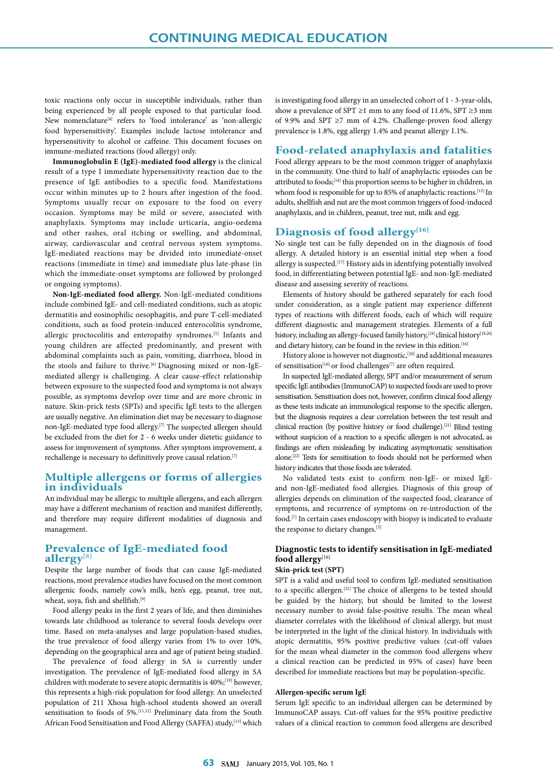toxic reactions only occur in susceptible individuals, rather than being experienced by all people exposed to that particular food. New nomenclature<sup>[4]</sup> refers to 'food intolerance' as 'non-allergic food hypersensitivity'. Examples include lactose intolerance and hypersensitivity to alcohol or caffeine. This document focuses on immune-mediated reactions (food allergy) only.

**Immunoglobulin E (IgE)-mediated food allergy** is the clinical result of a type I immediate hypersensitivity reaction due to the presence of IgE antibodies to a specific food. Manifestations occur within minutes up to 2 hours after ingestion of the food. Symptoms usually recur on exposure to the food on every occasion. Symptoms may be mild or severe, associated with anaphylaxis. Symptoms may include urticaria, angio-oedema and other rashes, oral itching or swelling, and abdominal, airway, cardiovascular and central nervous system symptoms. IgE-mediated reactions may be divided into immediate-onset reactions (immediate in time) and immediate plus late-phase (in which the immediate-onset symptoms are followed by prolonged or ongoing symptoms).

**Non-IgE-mediated food allergy.** Non-IgE-mediated conditions include combined IgE- and cell-mediated conditions, such as atopic dermatitis and eosinophilic oesophagitis, and pure T-cell-mediated conditions, such as food protein-induced enterocolitis syndrome, allergic proctocolitis and enteropathy syndromes.[5] Infants and young children are affected predominantly, and present with abdominal complaints such as pain, vomiting, diarrhoea, blood in the stools and failure to thrive.<sup>[6]</sup> Diagnosing mixed or non-IgEmediated allergy is challenging. A clear cause-effect relationship between exposure to the suspected food and symptoms is not always possible, as symptoms develop over time and are more chronic in nature. Skin-prick tests (SPTs) and specific IgE tests to the allergen are usually negative. An elimination diet may be necessary to diagnose non-IgE-mediated type food allergy.[7] The suspected allergen should be excluded from the diet for 2 - 6 weeks under dietetic guidance to assess for improvement of symptoms. After symptom improvement, a rechallenge is necessary to definitively prove causal relation.[7]

### **Multiple allergens or forms of allergies in individuals**

An individual may be allergic to multiple allergens, and each allergen may have a different mechanism of reaction and manifest differently, and therefore may require different modalities of diagnosis and management.

# **Prevalence of IgE-mediated food allergy**[8]

Despite the large number of foods that can cause IgE-mediated reactions, most prevalence studies have focused on the most common allergenic foods, namely cow's milk, hen's egg, peanut, tree nut, wheat, soya, fish and shellfish.<sup>[9]</sup>

Food allergy peaks in the first 2 years of life, and then diminishes towards late childhood as tolerance to several foods develops over time. Based on meta-analyses and large population-based studies, the true prevalence of food allergy varies from 1% to over 10%, depending on the geographical area and age of patient being studied.

The prevalence of food allergy in SA is currently under investigation. The prevalence of IgE-mediated food allergy in SA children with moderate to severe atopic dermatitis is 40%;<sup>[10]</sup> however, this represents a high-risk population for food allergy. An unselected population of 211 Xhosa high-school students showed an overall sensitisation to foods of 5%.[11,12] Preliminary data from the South African Food Sensitisation and Food Allergy (SAFFA) study,[13] which

is investigating food allergy in an unselected cohort of 1 - 3-year-olds, show a prevalence of SPT ≥1 mm to any food of 11.6%, SPT ≥3 mm of 9.9% and SPT ≥7 mm of 4.2%. Challenge-proven food allergy prevalence is 1.8%, egg allergy 1.4% and peanut allergy 1.1%.

### **Food-related anaphylaxis and fatalities**

Food allergy appears to be the most common trigger of anaphylaxis in the community. One-third to half of anaphylactic episodes can be attributed to foods;<sup>[14]</sup> this proportion seems to be higher in children, in whom food is responsible for up to 85% of anaphylactic reactions.<sup>[15]</sup> In adults, shellfish and nut are the most common triggers of food-induced anaphylaxis, and in children, peanut, tree nut, milk and egg.

# **Diagnosis of food allergy**<sup>[16]</sup>

No single test can be fully depended on in the diagnosis of food allergy. A detailed history is an essential initial step when a food allergy is suspected.  $\left[ ^{17}\right]$  History aids in identifying potentially involved food, in differentiating between potential IgE- and non-IgE-mediated disease and assessing severity of reactions.

Elements of history should be gathered separately for each food under consideration, as a single patient may experience different types of reactions with different foods, each of which will require different diagnostic and management strategies. Elements of a full history, including an allergy-focused family history,<sup>[18]</sup> clinical history<sup>[19,20]</sup> and dietary history, can be found in the review in this edition.<sup>[16]</sup>

History alone is however not diagnostic,  $\left[ {}^{20} \right]$  and additional measures of sensitisation<sup>[16]</sup> or food challenges<sup>[7]</sup> are often required.

In suspected IgE-mediated allergy, SPT and/or measurement of serum specific IgE antibodies (ImmunoCAP) to suspected foods are used to prove sensitisation. Sensitisation does not, however, confirm clinical food allergy as these tests indicate an immunological response to the specific allergen, but the diagnosis requires a clear correlation between the test result and clinical reaction (by positive history or food challenge).[21] Blind testing without suspicion of a reaction to a specific allergen is not advocated, as findings are often misleading by indicating asymptomatic sensitisation alone.<sup>[22]</sup> Tests for sensitisation to foods should not be performed when history indicates that those foods are tolerated.

No validated tests exist to confirm non-IgE- or mixed IgEand non-IgE-mediated food allergies. Diagnosis of this group of allergies depends on elimination of the suspected food, clearance of symptoms, and recurrence of symptoms on re-introduction of the food. $\left[ ^{7}\right]$  In certain cases endoscopy with biopsy is indicated to evaluate the response to dietary changes.<sup>[5]</sup>

# **Diagnostic tests to identify sensitisation in IgE-mediated food allergy**[16]

#### **Skin-prick test (SPT)**

SPT is a valid and useful tool to confirm IgE-mediated sensitisation to a specific allergen.[21] The choice of allergens to be tested should be guided by the history, but should be limited to the lowest necessary number to avoid false-positive results. The mean wheal diameter correlates with the likelihood of clinical allergy, but must be interpreted in the light of the clinical history. In individuals with atopic dermatitis, 95% positive predictive values (cut-off values for the mean wheal diameter in the common food allergens where a clinical reaction can be predicted in 95% of cases) have been described for immediate reactions but may be population-specific.

#### **Allergen-specific serum IgE**

Serum IgE specific to an individual allergen can be determined by ImmunoCAP assays. Cut-off values for the 95% positive predictive values of a clinical reaction to common food allergens are described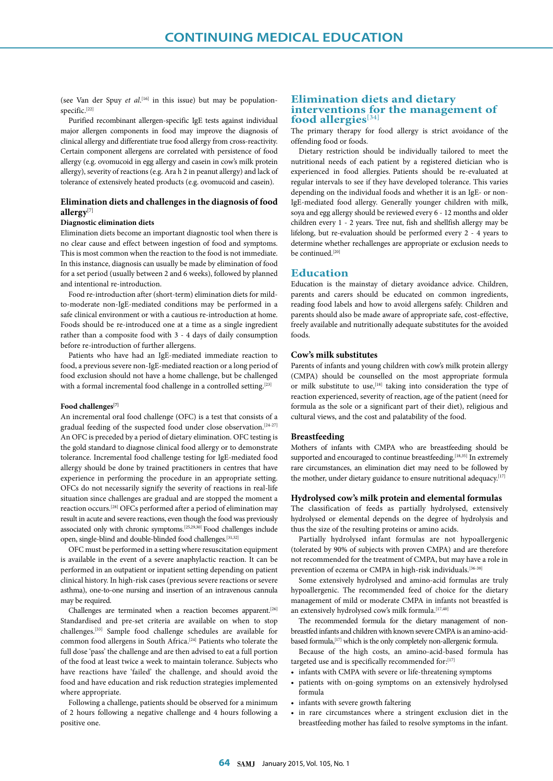(see Van der Spuy *et al*. [16] in this issue) but may be populationspecific.<sup>[22]</sup>

Purified recombinant allergen-specific IgE tests against individual major allergen components in food may improve the diagnosis of clinical allergy and differentiate true food allergy from cross-reactivity. Certain component allergens are correlated with persistence of food allergy (e.g. ovomucoid in egg allergy and casein in cow's milk protein allergy), severity of reactions (e.g. Ara h 2 in peanut allergy) and lack of tolerance of extensively heated products (e.g. ovomucoid and casein).

### **Elimination diets and challenges in the diagnosis of food allergy**[7]

### **Diagnostic elimination diets**

Elimination diets become an important diagnostic tool when there is no clear cause and effect between ingestion of food and symptoms. This is most common when the reaction to the food is not immediate. In this instance, diagnosis can usually be made by elimination of food for a set period (usually between 2 and 6 weeks), followed by planned and intentional re-introduction.

Food re-introduction after (short-term) elimination diets for mildto-moderate non-IgE-mediated conditions may be performed in a safe clinical environment or with a cautious re-introduction at home. Foods should be re-introduced one at a time as a single ingredient rather than a composite food with 3 - 4 days of daily consumption before re-introduction of further allergens.

Patients who have had an IgE-mediated immediate reaction to food, a previous severe non-IgE-mediated reaction or a long period of food exclusion should not have a home challenge, but be challenged with a formal incremental food challenge in a controlled setting.<sup>[23]</sup>

#### **Food challenges[7]**

An incremental oral food challenge (OFC) is a test that consists of a gradual feeding of the suspected food under close observation.<sup>[24-27]</sup> An OFC is preceded by a period of dietary elimination. OFC testing is the gold standard to diagnose clinical food allergy or to demonstrate tolerance. Incremental food challenge testing for IgE-mediated food allergy should be done by trained practitioners in centres that have experience in performing the procedure in an appropriate setting. OFCs do not necessarily signify the severity of reactions in real-life situation since challenges are gradual and are stopped the moment a reaction occurs.[28] OFCs performed after a period of elimination may result in acute and severe reactions, even though the food was previously associated only with chronic symptoms.[25,29,30] Food challenges include open, single-blind and double-blinded food challenges.[31,32]

OFC must be performed in a setting where resuscitation equipment is available in the event of a severe anaphylactic reaction. It can be performed in an outpatient or inpatient setting depending on patient clinical history. In high-risk cases (previous severe reactions or severe asthma), one-to-one nursing and insertion of an intravenous cannula may be required.

Challenges are terminated when a reaction becomes apparent.<sup>[26]</sup> Standardised and pre-set criteria are available on when to stop challenges.[33] Sample food challenge schedules are available for common food allergens in South Africa.<sup>[24]</sup> Patients who tolerate the full dose 'pass' the challenge and are then advised to eat a full portion of the food at least twice a week to maintain tolerance. Subjects who have reactions have 'failed' the challenge, and should avoid the food and have education and risk reduction strategies implemented where appropriate.

Following a challenge, patients should be observed for a minimum of 2 hours following a negative challenge and 4 hours following a positive one.

# **Elimination diets and dietary interventions for the management of food allergies**[34]

The primary therapy for food allergy is strict avoidance of the offending food or foods.

Dietary restriction should be individually tailored to meet the nutritional needs of each patient by a registered dietician who is experienced in food allergies. Patients should be re-evaluated at regular intervals to see if they have developed tolerance. This varies depending on the individual foods and whether it is an IgE- or non-IgE-mediated food allergy. Generally younger children with milk, soya and egg allergy should be reviewed every 6 - 12 months and older children every 1 - 2 years. Tree nut, fish and shellfish allergy may be lifelong, but re-evaluation should be performed every 2 - 4 years to determine whether rechallenges are appropriate or exclusion needs to be continued.[20]

### **Education**

Education is the mainstay of dietary avoidance advice. Children, parents and carers should be educated on common ingredients, reading food labels and how to avoid allergens safely. Children and parents should also be made aware of appropriate safe, cost-effective, freely available and nutritionally adequate substitutes for the avoided foods.

#### **Cow's milk substitutes**

Parents of infants and young children with cow's milk protein allergy (CMPA) should be counselled on the most appropriate formula or milk substitute to use,<sup>[18]</sup> taking into consideration the type of reaction experienced, severity of reaction, age of the patient (need for formula as the sole or a significant part of their diet), religious and cultural views, and the cost and palatability of the food.

#### **Breastfeeding**

Mothers of infants with CMPA who are breastfeeding should be supported and encouraged to continue breastfeeding.<sup>[18,35]</sup> In extremely rare circumstances, an elimination diet may need to be followed by the mother, under dietary guidance to ensure nutritional adequacy.[17]

#### **Hydrolysed cow's milk protein and elemental formulas**

The classification of feeds as partially hydrolysed, extensively hydrolysed or elemental depends on the degree of hydrolysis and thus the size of the resulting proteins or amino acids.

Partially hydrolysed infant formulas are not hypoallergenic (tolerated by 90% of subjects with proven CMPA) and are therefore not recommended for the treatment of CMPA, but may have a role in prevention of eczema or CMPA in high-risk individuals.<sup>[36-38]</sup>

Some extensively hydrolysed and amino-acid formulas are truly hypoallergenic. The recommended feed of choice for the dietary management of mild or moderate CMPA in infants not breastfed is an extensively hydrolysed cow's milk formula.<sup>[17,40]</sup>

The recommended formula for the dietary management of nonbreastfed infants and children with known severe CMPA is an amino-acidbased formula, [17] which is the only completely non-allergenic formula.

Because of the high costs, an amino-acid-based formula has targeted use and is specifically recommended for:[17]

- infants with CMPA with severe or life-threatening symptoms
- patients with on-going symptoms on an extensively hydrolysed formula
- infants with severe growth faltering
- in rare circumstances where a stringent exclusion diet in the breastfeeding mother has failed to resolve symptoms in the infant.